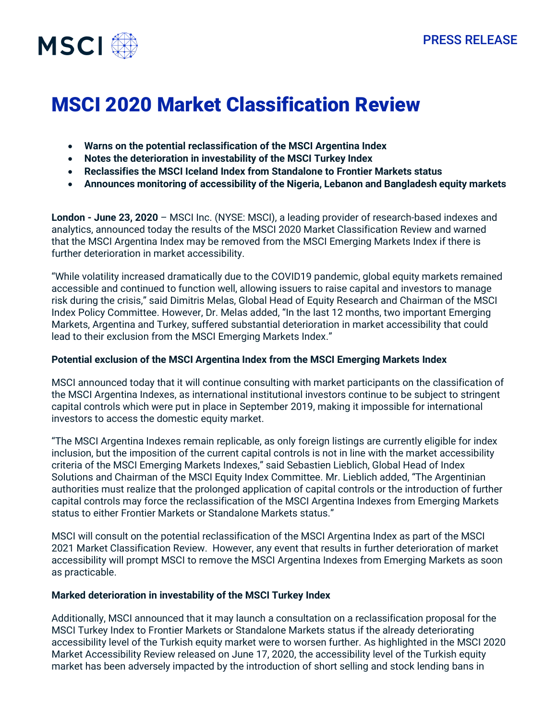

# MSCI 2020 Market Classification Review

- **Warns on the potential reclassification of the MSCI Argentina Index**
- **Notes the deterioration in investability of the MSCI Turkey Index**
- **Reclassifies the MSCI Iceland Index from Standalone to Frontier Markets status**
- **Announces monitoring of accessibility of the Nigeria, Lebanon and Bangladesh equity markets**

**London - June 23, 2020** – MSCI Inc. (NYSE: MSCI), a leading provider of research-based indexes and analytics, announced today the results of the MSCI 2020 Market Classification Review and warned that the MSCI Argentina Index may be removed from the MSCI Emerging Markets Index if there is further deterioration in market accessibility.

"While volatility increased dramatically due to the COVID19 pandemic, global equity markets remained accessible and continued to function well, allowing issuers to raise capital and investors to manage risk during the crisis," said Dimitris Melas, Global Head of Equity Research and Chairman of the MSCI Index Policy Committee. However, Dr. Melas added, "In the last 12 months, two important Emerging Markets, Argentina and Turkey, suffered substantial deterioration in market accessibility that could lead to their exclusion from the MSCI Emerging Markets Index."

### **Potential exclusion of the MSCI Argentina Index from the MSCI Emerging Markets Index**

MSCI announced today that it will continue consulting with market participants on the classification of the MSCI Argentina Indexes, as international institutional investors continue to be subject to stringent capital controls which were put in place in September 2019, making it impossible for international investors to access the domestic equity market.

"The MSCI Argentina Indexes remain replicable, as only foreign listings are currently eligible for index inclusion, but the imposition of the current capital controls is not in line with the market accessibility criteria of the MSCI Emerging Markets Indexes," said Sebastien Lieblich, Global Head of Index Solutions and Chairman of the MSCI Equity Index Committee. Mr. Lieblich added, "The Argentinian authorities must realize that the prolonged application of capital controls or the introduction of further capital controls may force the reclassification of the MSCI Argentina Indexes from Emerging Markets status to either Frontier Markets or Standalone Markets status."

MSCI will consult on the potential reclassification of the MSCI Argentina Index as part of the MSCI 2021 Market Classification Review. However, any event that results in further deterioration of market accessibility will prompt MSCI to remove the MSCI Argentina Indexes from Emerging Markets as soon as practicable.

## **Marked deterioration in investability of the MSCI Turkey Index**

Additionally, MSCI announced that it may launch a consultation on a reclassification proposal for the MSCI Turkey Index to Frontier Markets or Standalone Markets status if the already deteriorating accessibility level of the Turkish equity market were to worsen further. As highlighted in the MSCI 2020 Market Accessibility Review released on June 17, 2020, the accessibility level of the Turkish equity market has been adversely impacted by the introduction of short selling and stock lending bans in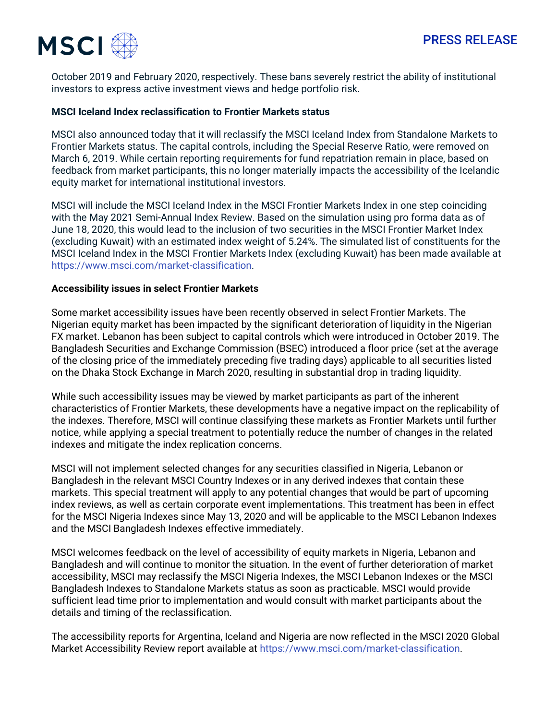

October 2019 and February 2020, respectively. These bans severely restrict the ability of institutional investors to express active investment views and hedge portfolio risk.

#### **MSCI Iceland Index reclassification to Frontier Markets status**

MSCI also announced today that it will reclassify the MSCI Iceland Index from Standalone Markets to Frontier Markets status. The capital controls, including the Special Reserve Ratio, were removed on March 6, 2019. While certain reporting requirements for fund repatriation remain in place, based on feedback from market participants, this no longer materially impacts the accessibility of the Icelandic equity market for international institutional investors.

MSCI will include the MSCI Iceland Index in the MSCI Frontier Markets Index in one step coinciding with the May 2021 Semi‐Annual Index Review. Based on the simulation using pro forma data as of June 18, 2020, this would lead to the inclusion of two securities in the MSCI Frontier Market Index (excluding Kuwait) with an estimated index weight of 5.24%. The simulated list of constituents for the MSCI Iceland Index in the MSCI Frontier Markets Index (excluding Kuwait) has been made available at [https://www.msci.com/market-classification.](https://www.msci.com/market-classification)

#### **Accessibility issues in select Frontier Markets**

Some market accessibility issues have been recently observed in select Frontier Markets. The Nigerian equity market has been impacted by the significant deterioration of liquidity in the Nigerian FX market. Lebanon has been subject to capital controls which were introduced in October 2019. The Bangladesh Securities and Exchange Commission (BSEC) introduced a floor price (set at the average of the closing price of the immediately preceding five trading days) applicable to all securities listed on the Dhaka Stock Exchange in March 2020, resulting in substantial drop in trading liquidity.

While such accessibility issues may be viewed by market participants as part of the inherent characteristics of Frontier Markets, these developments have a negative impact on the replicability of the indexes. Therefore, MSCI will continue classifying these markets as Frontier Markets until further notice, while applying a special treatment to potentially reduce the number of changes in the related indexes and mitigate the index replication concerns.

MSCI will not implement selected changes for any securities classified in Nigeria, Lebanon or Bangladesh in the relevant MSCI Country Indexes or in any derived indexes that contain these markets. This special treatment will apply to any potential changes that would be part of upcoming index reviews, as well as certain corporate event implementations. This treatment has been in effect for the MSCI Nigeria Indexes since May 13, 2020 and will be applicable to the MSCI Lebanon Indexes and the MSCI Bangladesh Indexes effective immediately.

MSCI welcomes feedback on the level of accessibility of equity markets in Nigeria, Lebanon and Bangladesh and will continue to monitor the situation. In the event of further deterioration of market accessibility, MSCI may reclassify the MSCI Nigeria Indexes, the MSCI Lebanon Indexes or the MSCI Bangladesh Indexes to Standalone Markets status as soon as practicable. MSCI would provide sufficient lead time prior to implementation and would consult with market participants about the details and timing of the reclassification.

The accessibility reports for Argentina, Iceland and Nigeria are now reflected in the MSCI 2020 Global Market Accessibility Review report available a[t https://www.msci.com/market-classification.](https://www.msci.com/market-classification)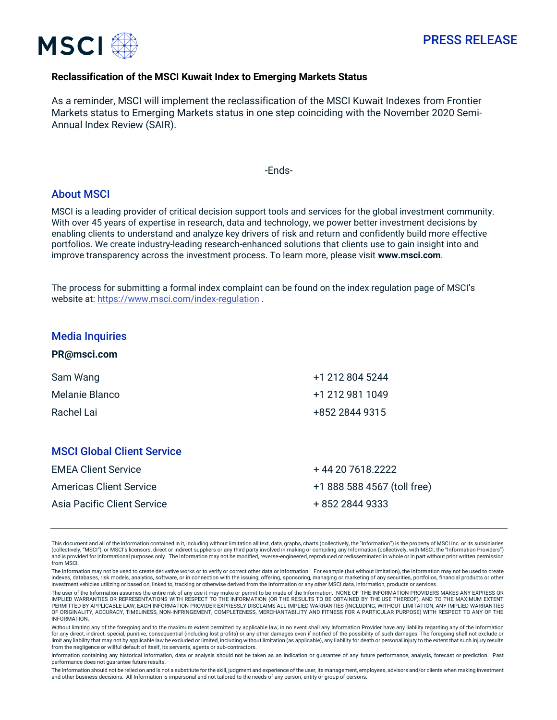

# PRESS RELEASE

#### **Reclassification of the MSCI Kuwait Index to Emerging Markets Status**

As a reminder, MSCI will implement the reclassification of the MSCI Kuwait Indexes from Frontier Markets status to Emerging Markets status in one step coinciding with the November 2020 Semi-Annual Index Review (SAIR).

#### -Ends-

#### About MSCI

MSCI is a leading provider of critical decision support tools and services for the global investment community. With over 45 years of expertise in research, data and technology, we power better investment decisions by enabling clients to understand and analyze key drivers of risk and return and confidently build more effective portfolios. We create industry-leading research-enhanced solutions that clients use to gain insight into and improve transparency across the investment process. To learn more, please visit **[www.msci.com](http://www.msci.com/)**.

The process for submitting a formal index complaint can be found on the index regulation page of MSCI's website at:<https://www.msci.com/index-regulation> .

#### Media Inquiries

**[PR@msci.com](mailto:PR@msci.com)**

| Sam Wang                          | +1 212 804 5244  |
|-----------------------------------|------------------|
| Melanie Blanco                    | +1 212 981 1049  |
| Rachel Lai                        | +852 2844 9315   |
|                                   |                  |
| <b>MSCI Global Client Service</b> |                  |
| <b>EMEA Client Service</b>        | +44 20 7618.2222 |
|                                   |                  |

| <b>EMEA Client Service</b>  | + 44 20 7618.2222           |
|-----------------------------|-----------------------------|
| Americas Client Service     | +1 888 588 4567 (toll free) |
| Asia Pacific Client Service | + 852 2844 9333             |

This document and all of the information contained in it, including without limitation all text, data, graphs, charts (collectively, the "Information") is the property of MSCI Inc. or its subsidiaries<br>(collectively, "MSCI" and is provided for informational purposes only. The Information may not be modified, reverse-engineered, reproduced or redisseminated in whole or in part without prior written permission from MSCI.

The Information may not be used to create derivative works or to verify or correct other data or information. For example (but without limitation), the Information may not be used to create indexes, databases, risk models, analytics, software, or in connection with the issuing, offering, sponsoring, managing or marketing of any securities, portfolios, financial products or other investment vehicles utilizing or based on, linked to, tracking or otherwise derived from the Information or any other MSCI data, information, products or services.

The user of the Information assumes the entire risk of any use it may make or permit to be made of the Information. NONE OF THE INFORMATION PROVIDERS MAKES ANY EXPRESS OR IMPLIED WARRANTIES OR REPRESENTATIONS WITH RESPECT TO THE INFORMATION (OR THE RESULTS TO BE OBTAINED BY THE USE THEREOF), AND TO THE MAXIMUM EXTENT<br>PERMITTED BY APPLICABLE LAW, EACH INFORMATION PROVIDER EXPRESSLY DISCLAIMS OF ORIGINALITY, ACCURACY, TIMELINESS, NON-INFRINGEMENT, COMPLETENESS, MERCHANTABILITY AND FITNESS FOR A PARTICULAR PURPOSE) WITH RESPECT TO ANY OF THE **INFORMATION** 

Without limiting any of the foregoing and to the maximum extent permitted by applicable law, in no event shall any Information Provider have any liability regarding any of the Information for any direct, indirect, special, punitive, consequential (including lost profits) or any other damages even if notified of the possibility of such damages. The foregoing shall not exclude or limit any liability that may not by applicable law be excluded or limited, including without limitation (as applicable), any liability for death or personal injury to the extent that such injury results from the negligence or willful default of itself, its servants, agents or sub-contractors.

Information containing any historical information, data or analysis should not be taken as an indication or guarantee of any future performance, analysis, forecast or prediction. Past performance does not guarantee future results.

The Information should not be relied on and is not a substitute for the skill, judgment and experience of the user, its management, employees, advisors and/or clients when making investment and other business decisions. All Information is impersonal and not tailored to the needs of any person, entity or group of persons.